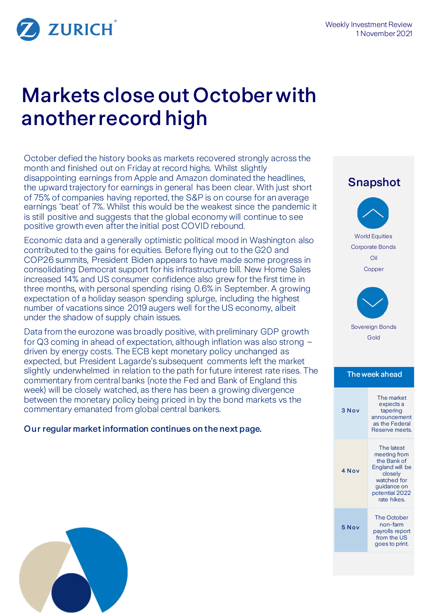

# Markets close out October with another record high

October defied the history books as markets recovered strongly across the month and finished out on Friday at record highs. Whilst slightly disappointing earnings from Apple and Amazon dominated the headlines, the upward trajectory for earnings in general has been clear. With just short of 75% of companies having reported, the S&P is on course for an average earnings 'beat' of 7%. Whilst this would be the weakest since the pandemic it is still positive and suggests that the global economy will continue to see positive growth even after the initial post COVID rebound.

Economic data and a generally optimistic political mood in Washington also contributed to the gains for equities. Before flying out to the G20 and COP26 summits, President Biden appears to have made some progress in consolidating Democrat support for his infrastructure bill. New Home Sales increased 14% and US consumer confidence also grew for the first time in three months, with personal spending rising 0.6% in September. A growing expectation of a holiday season spending splurge, including the highest number of vacations since 2019 augers well for the US economy, albeit under the shadow of supply chain issues.

Data from the eurozone was broadly positive, with preliminary GDP growth for Q3 coming in ahead of expectation, although inflation was also strong – driven by energy costs. The ECB kept monetary policy unchanged as expected, but President Lagarde's subsequent comments left the market slightly underwhelmed in relation to the path for future interest rate rises. The commentary from central banks (note the Fed and Bank of England this week) will be closely watched, as there has been a growing divergence between the monetary policy being priced in by the bond markets vs the commentary emanated from global central bankers.

Our regular market information continues on the next page.